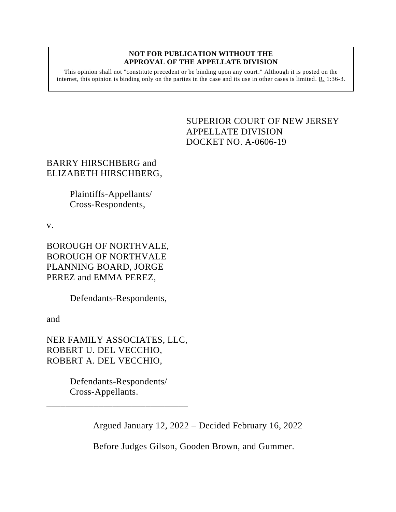## **NOT FOR PUBLICATION WITHOUT THE APPROVAL OF THE APPELLATE DIVISION**

This opinion shall not "constitute precedent or be binding upon any court." Although it is posted on the internet, this opinion is binding only on the parties in the case and its use in other cases is limited. R. 1:36-3.

> <span id="page-0-0"></span>SUPERIOR COURT OF NEW JERSEY APPELLATE DIVISION DOCKET NO. A-0606-19

## BARRY HIRSCHBERG and ELIZABETH HIRSCHBERG,

Plaintiffs-Appellants/ Cross-Respondents,

v.

BOROUGH OF NORTHVALE, BOROUGH OF NORTHVALE PLANNING BOARD, JORGE PEREZ and EMMA PEREZ,

Defendants-Respondents,

and

NER FAMILY ASSOCIATES, LLC, ROBERT U. DEL VECCHIO, ROBERT A. DEL VECCHIO,

> Defendants-Respondents/ Cross-Appellants.

\_\_\_\_\_\_\_\_\_\_\_\_\_\_\_\_\_\_\_\_\_\_\_\_\_\_\_\_\_\_

Argued January 12, 2022 – Decided February 16, 2022

Before Judges Gilson, Gooden Brown, and Gummer.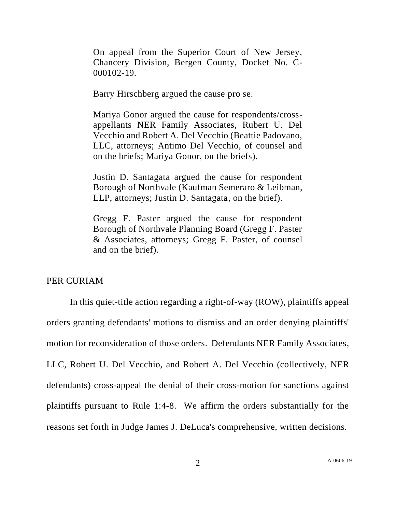On appeal from the Superior Court of New Jersey, Chancery Division, Bergen County, Docket No. C-000102-19.

Barry Hirschberg argued the cause pro se.

Mariya Gonor argued the cause for respondents/crossappellants NER Family Associates, Rubert U. Del Vecchio and Robert A. Del Vecchio (Beattie Padovano, LLC, attorneys; Antimo Del Vecchio, of counsel and on the briefs; Mariya Gonor, on the briefs).

Justin D. Santagata argued the cause for respondent Borough of Northvale (Kaufman Semeraro & Leibman, LLP, attorneys; Justin D. Santagata, on the brief).

Gregg F. Paster argued the cause for respondent Borough of Northvale Planning Board (Gregg F. Paster & Associates, attorneys; Gregg F. Paster, of counsel and on the brief).

## PER CURIAM

In this quiet-title action regarding a right-of-way (ROW), plaintiffs appeal orders granting defendants' motions to dismiss and an order denying plaintiffs' motion for reconsideration of those orders. Defendants NER Family Associates, LLC, Robert U. Del Vecchio, and Robert A. Del Vecchio (collectively, NER defendants) cross-appeal the denial of their cross-motion for sanctions against plaintiffs pursuant to Rule 1:4-8. We affirm the orders substantially for the reasons set forth in Judge James J. DeLuca's comprehensive, written decisions.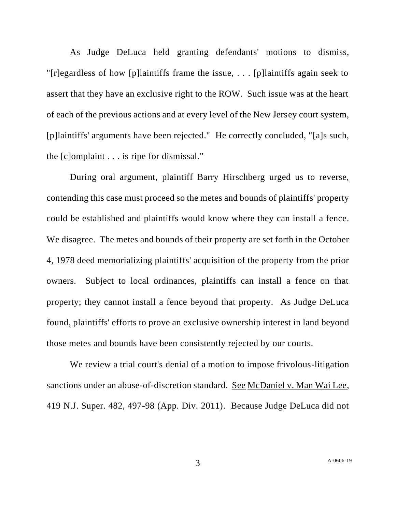As Judge DeLuca held granting defendants' motions to dismiss, "[r]egardless of how [p]laintiffs frame the issue,  $\ldots$  [p]laintiffs again seek to assert that they have an exclusive right to the ROW. Such issue was at the heart of each of the previous actions and at every level of the New Jersey court system, [p]laintiffs' arguments have been rejected." He correctly concluded, "[a]s such, the [c]omplaint . . . is ripe for dismissal."

During oral argument, plaintiff Barry Hirschberg urged us to reverse, contending this case must proceed so the metes and bounds of plaintiffs' property could be established and plaintiffs would know where they can install a fence. We disagree. The metes and bounds of their property are set forth in the October 4, 1978 deed memorializing plaintiffs' acquisition of the property from the prior owners. Subject to local ordinances, plaintiffs can install a fence on that property; they cannot install a fence beyond that property. As Judge DeLuca found, plaintiffs' efforts to prove an exclusive ownership interest in land beyond those metes and bounds have been consistently rejected by our courts.

We review a trial court's denial of a motion to impose frivolous-litigation sanctions under an abuse-of-discretion standard. See McDaniel v. Man Wai Lee, 419 N.J. Super. 482, 497-98 (App. Div. 2011). Because Judge DeLuca did not